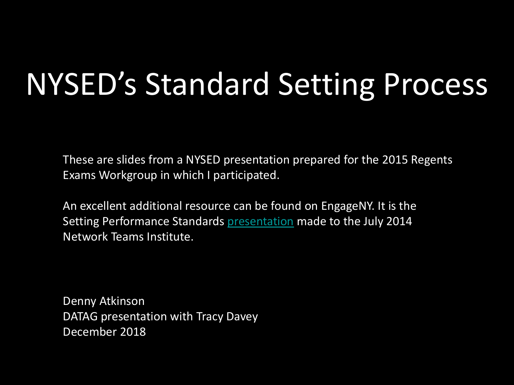# NYSED's Standard Setting Process

These are slides from a NYSED presentation prepared for the 2015 Regents Exams Workgroup in which I participated.

An excellent additional resource can be found on EngageNY. It is the Setting Performance Standards [presentation](https://www.engageny.org/resource/july-2014-nti-setting-performance-standards) made to the July 2014 Network Teams Institute.

Denny Atkinson DATAG presentation with Tracy Davey December 2018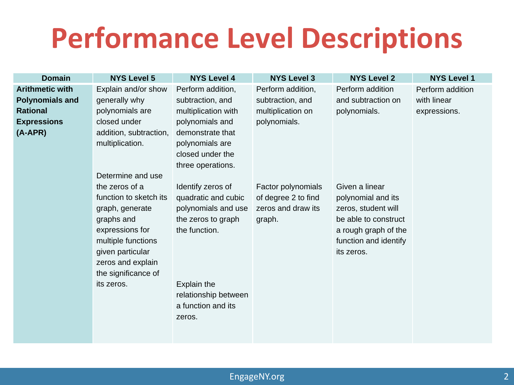### **Performance Level Descriptions**

| <b>Domain</b>          | <b>NYS Level 5</b>                                                      | <b>NYS Level 4</b>                                   | <b>NYS Level 3</b>                        | <b>NYS Level 2</b>                                                                  | <b>NYS Level 1</b> |
|------------------------|-------------------------------------------------------------------------|------------------------------------------------------|-------------------------------------------|-------------------------------------------------------------------------------------|--------------------|
| <b>Arithmetic with</b> | Explain and/or show                                                     | Perform addition,                                    | Perform addition,                         | Perform addition                                                                    | Perform addition   |
| <b>Polynomials and</b> | generally why                                                           | subtraction, and                                     | subtraction, and                          | and subtraction on                                                                  | with linear        |
| <b>Rational</b>        | polynomials are                                                         | multiplication with                                  | multiplication on                         | polynomials.                                                                        | expressions.       |
| <b>Expressions</b>     | closed under                                                            | polynomials and                                      | polynomials.                              |                                                                                     |                    |
| $(A-APR)$              | addition, subtraction,<br>multiplication.                               | demonstrate that<br>polynomials are                  |                                           |                                                                                     |                    |
|                        |                                                                         | closed under the                                     |                                           |                                                                                     |                    |
|                        | Determine and use                                                       | three operations.                                    |                                           |                                                                                     |                    |
|                        | the zeros of a                                                          | Identify zeros of                                    | Factor polynomials                        | Given a linear                                                                      |                    |
|                        | function to sketch its<br>graph, generate                               | quadratic and cubic<br>polynomials and use           | of degree 2 to find<br>zeros and draw its | polynomial and its<br>zeros, student will                                           |                    |
|                        | graphs and<br>expressions for<br>multiple functions<br>given particular | the zeros to graph<br>the function.                  | graph.                                    | be able to construct<br>a rough graph of the<br>function and identify<br>its zeros. |                    |
|                        | zeros and explain<br>the significance of                                |                                                      |                                           |                                                                                     |                    |
|                        | its zeros.                                                              | Explain the                                          |                                           |                                                                                     |                    |
|                        |                                                                         | relationship between<br>a function and its<br>zeros. |                                           |                                                                                     |                    |
|                        |                                                                         |                                                      |                                           |                                                                                     |                    |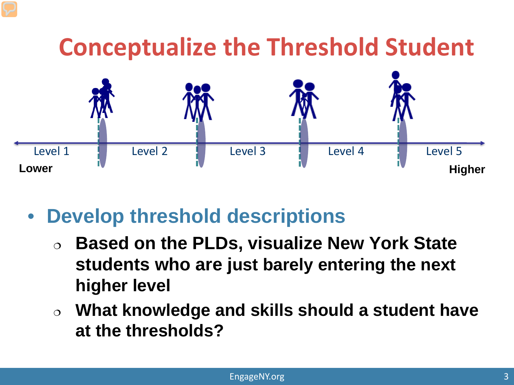

#### • **Develop threshold descriptions**

- **Based on the PLDs, visualize New York State students who are just barely entering the next higher level**
- **What knowledge and skills should a student have at the thresholds?**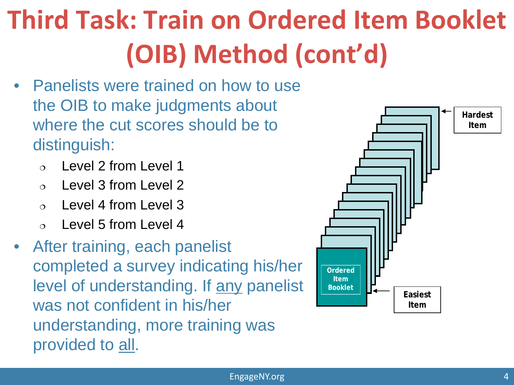## **Third Task: Train on Ordered Item Booklet (OIB) Method (cont'd)**

- Panelists were trained on how to use the OIB to make judgments about where the cut scores should be to distinguish:
	- Level 2 from Level 1
	- Level 3 from Level 2
	- Level 4 from Level 3
	- $\circ$  Level 5 from Level 4
- After training, each panelist completed a survey indicating his/her level of understanding. If any panelist was not confident in his/her understanding, more training was provided to all.

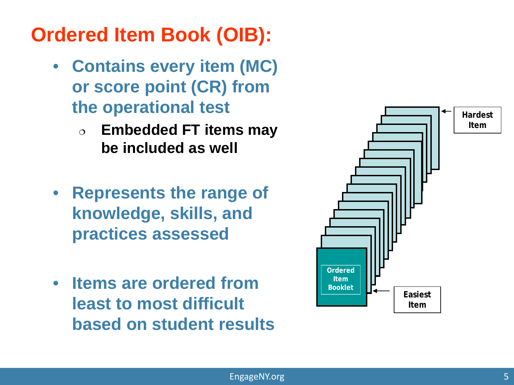#### **Ordered Item Book (OIB):**

- **Contains every item (MC) or score point (CR) from the operational test**
	- **Embedded FT items may be included as well**
- **Represents the range of knowledge, skills, and practices assessed**
- **Items are ordered from least to most difficult based on student results**

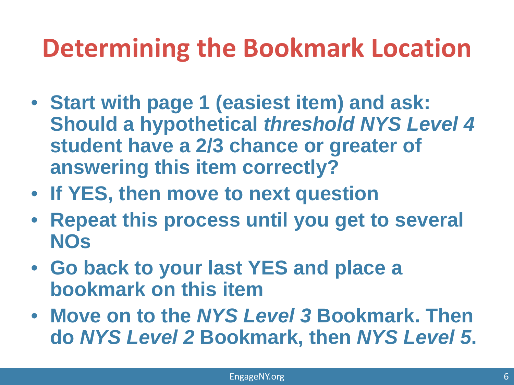### **Determining the Bookmark Location**

- **Start with page 1 (easiest item) and ask: Should a hypothetical** *threshold NYS Level 4*  **student have a 2/3 chance or greater of answering this item correctly?**
- **If YES, then move to next question**
- **Repeat this process until you get to several NOs**
- **Go back to your last YES and place a bookmark on this item**
- **Move on to the** *NYS Level 3* **Bookmark. Then do** *NYS Level 2* **Bookmark, then** *NYS Level 5***.**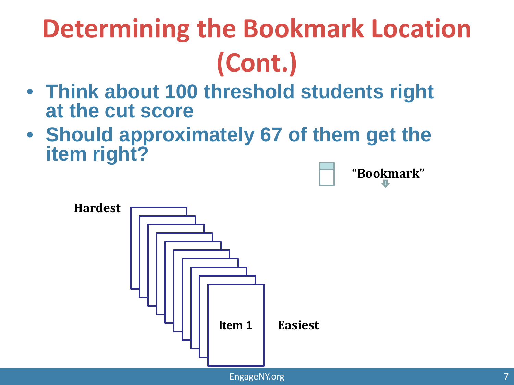## **Determining the Bookmark Location (Cont.)**

- **Think about 100 threshold students right at the cut score**
- **Should approximately 67 of them get the item right?**



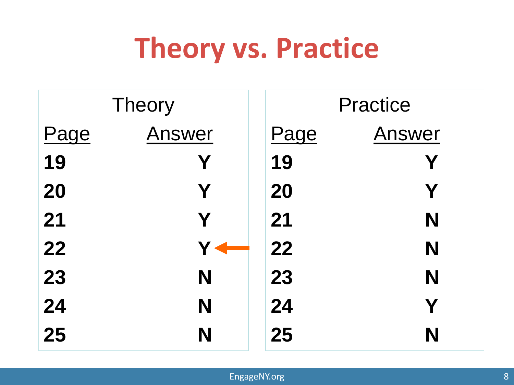### **Theory vs. Practice**

|      | <b>Theory</b> | <b>Practice</b> |        |  |
|------|---------------|-----------------|--------|--|
| Page | Answer        | Page            | Answer |  |
| 19   | Y             | 19              | Y      |  |
| 20   | Y             | 20              | Y      |  |
| 21   | Y             | 21              | N      |  |
| 22   |               | 22              | N      |  |
| 23   | N             | 23              | N      |  |
| 24   | N             | 24              | Y      |  |
| 25   | N             | 25              | N      |  |